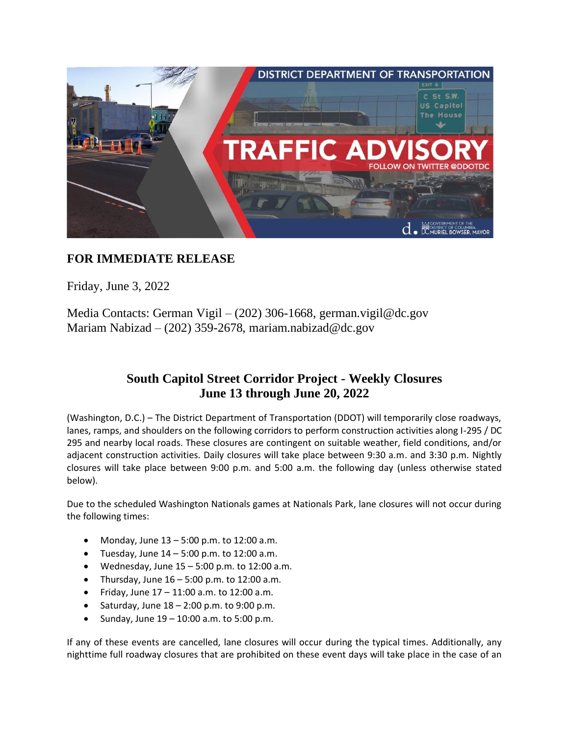

## **FOR IMMEDIATE RELEASE**

Friday, June 3, 2022

Media Contacts: German Vigil – (202) 306-1668, german.vigil@dc.gov Mariam Nabizad – (202) 359-2678, mariam.nabizad@dc.gov

## **South Capitol Street Corridor Project - Weekly Closures June 13 through June 20, 2022**

(Washington, D.C.) – The District Department of Transportation (DDOT) will temporarily close roadways, lanes, ramps, and shoulders on the following corridors to perform construction activities along I-295 / DC 295 and nearby local roads. These closures are contingent on suitable weather, field conditions, and/or adjacent construction activities. Daily closures will take place between 9:30 a.m. and 3:30 p.m. Nightly closures will take place between 9:00 p.m. and 5:00 a.m. the following day (unless otherwise stated below).

Due to the scheduled Washington Nationals games at Nationals Park, lane closures will not occur during the following times:

- Monday, June 13 5:00 p.m. to 12:00 a.m.
- Tuesday, June  $14 5:00$  p.m. to  $12:00$  a.m.
- Wednesday, June  $15 5:00$  p.m. to  $12:00$  a.m.
- Thursday, June  $16 5:00$  p.m. to 12:00 a.m.
- Friday, June 17 11:00 a.m. to 12:00 a.m.
- Saturday, June  $18 2:00$  p.m. to  $9:00$  p.m.
- Sunday, June  $19 10:00$  a.m. to 5:00 p.m.

If any of these events are cancelled, lane closures will occur during the typical times. Additionally, any nighttime full roadway closures that are prohibited on these event days will take place in the case of an